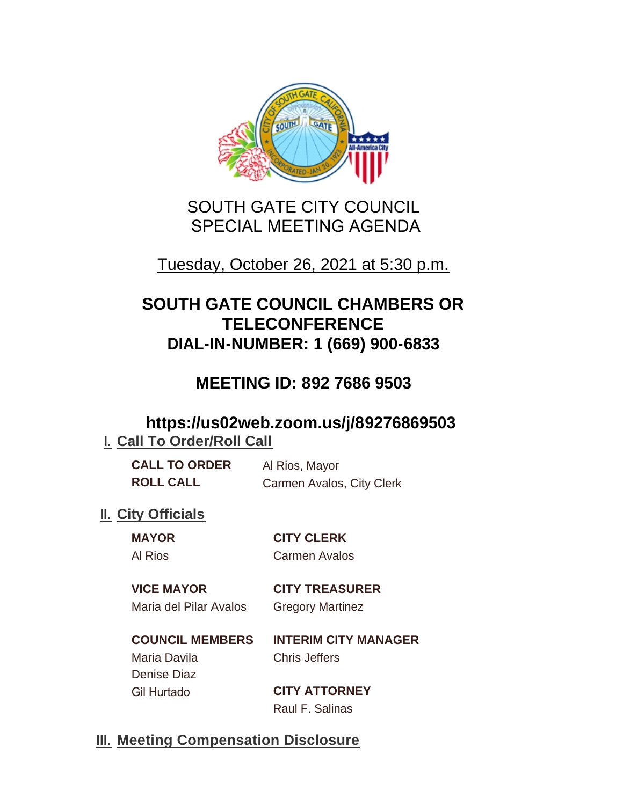

# SOUTH GATE CITY COUNCIL SPECIAL MEETING AGENDA

# Tuesday, October 26, 2021 at 5:30 p.m.

# **SOUTH GATE COUNCIL CHAMBERS OR TELECONFERENCE DIAL-IN-NUMBER: 1 (669) 900-6833**

# **MEETING ID: 892 7686 9503**

### **https://us02web.zoom.us/j/89276869503 I. Call To Order/Roll Call**

| <b>CALL TO ORDER</b> | Al Rios, Mayor            |
|----------------------|---------------------------|
| <b>ROLL CALL</b>     | Carmen Avalos, City Clerk |

### **II.** City Officials

**MAYOR CITY CLERK** Al Rios Carmen Avalos

#### **VICE MAYOR CITY TREASURER** Maria del Pilar Avalos Gregory Martinez

**COUNCIL MEMBERS INTERIM CITY MANAGER** Maria Davila Chris Jeffers Denise Diaz Gil Hurtado **CITY ATTORNEY**

Raul F. Salinas

## **Meeting Compensation Disclosure III.**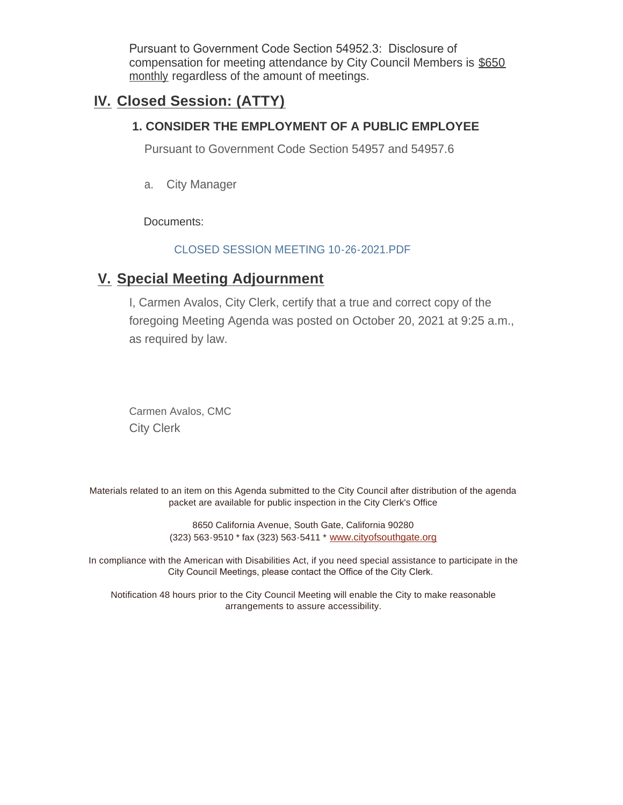Pursuant to Government Code Section 54952.3: Disclosure of compensation for meeting attendance by City Council Members is \$650 monthly regardless of the amount of meetings.

### **Closed Session: (ATTY) IV.**

#### **1. CONSIDER THE EMPLOYMENT OF A PUBLIC EMPLOYEE**

Pursuant to Government Code Section 54957 and 54957.6

a. City Manager

Documents:

#### CLOSED SESSION MEETING 10-26-2021.PDF

### **Special Meeting Adjournment V.**

I, Carmen Avalos, City Clerk, certify that a true and correct copy of the foregoing Meeting Agenda was posted on October 20, 2021 at 9:25 a.m., as required by law.

Carmen Avalos, CMC City Clerk

Materials related to an item on this Agenda submitted to the City Council after distribution of the agenda packet are available for public inspection in the City Clerk's Office

> 8650 California Avenue, South Gate, California 90280 (323) 563-9510 \* fax (323) 563-5411 \* [www.cityofsouthgate.org](http://www.cityofsouthgate.org/)

In compliance with the American with Disabilities Act, if you need special assistance to participate in the City Council Meetings, please contact the Office of the City Clerk.

Notification 48 hours prior to the City Council Meeting will enable the City to make reasonable arrangements to assure accessibility.